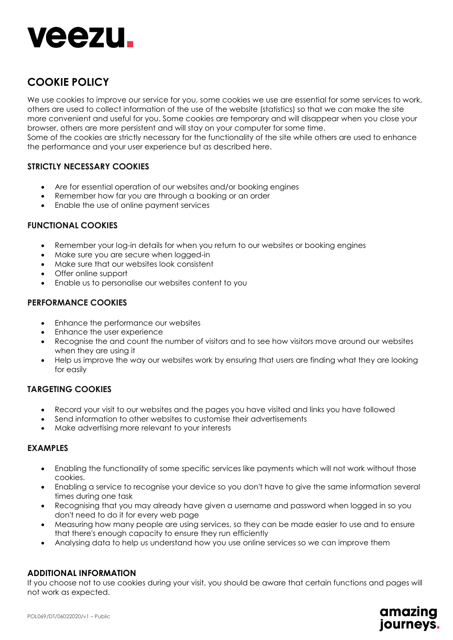

# **COOKIE POLICY**

We use cookies to improve our service for you, some cookies we use are essential for some services to work, others are used to collect information of the use of the website (statistics) so that we can make the site more convenient and useful for you. Some cookies are temporary and will disappear when you close your browser, others are more persistent and will stay on your computer for some time.

Some of the cookies are strictly necessary for the functionality of the site while others are used to enhance the performance and your user experience but as described here.

# **STRICTLY NECESSARY COOKIES**

- Are for essential operation of our websites and/or booking engines
- Remember how far you are through a booking or an order
- Enable the use of online payment services

### **FUNCTIONAL COOKIES**

- Remember your log-in details for when you return to our websites or booking engines
- Make sure you are secure when logged-in
- Make sure that our websites look consistent
- Offer online support
- Enable us to personalise our websites content to you

### **PERFORMANCE COOKIES**

- Enhance the performance our websites
- Enhance the user experience
- Recognise the and count the number of visitors and to see how visitors move around our websites when they are using it
- Help us improve the way our websites work by ensuring that users are finding what they are looking for easily

#### **TARGETING COOKIES**

- Record your visit to our websites and the pages you have visited and links you have followed
- Send information to other websites to customise their advertisements
- Make advertising more relevant to your interests

## **EXAMPLES**

- Enabling the functionality of some specific services like payments which will not work without those cookies.
- Enabling a service to recognise your device so you don't have to give the same information several times during one task
- Recognising that you may already have given a username and password when logged in so you don't need to do it for every web page
- Measuring how many people are using services, so they can be made easier to use and to ensure that there's enough capacity to ensure they run efficiently
- Analysing data to help us understand how you use online services so we can improve them

#### **ADDITIONAL INFORMATION**

If you choose not to use cookies during your visit, you should be aware that certain functions and pages will not work as expected.